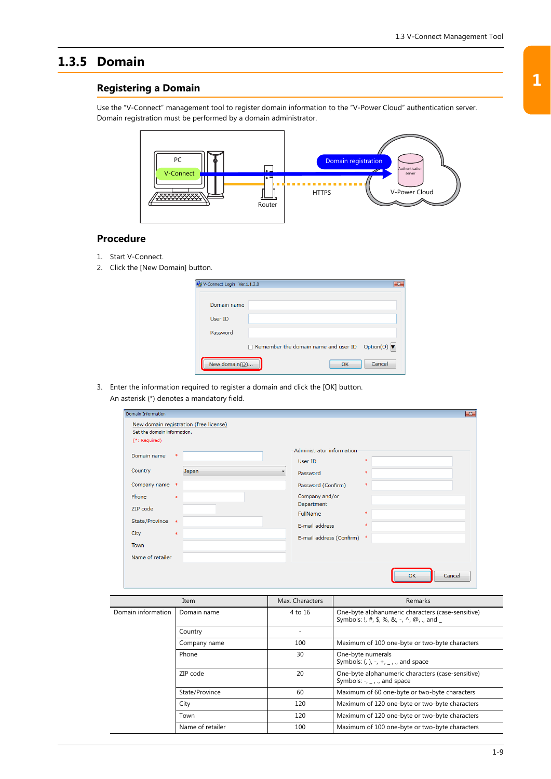## **1.3.5 Domain**

## **Registering a Domain**

Use the "V-Connect" management tool to register domain information to the "V-Power Cloud" authentication server. Domain registration must be performed by a domain administrator.



## **Procedure**

- 1. Start V-Connect.
- 2. Click the [New Domain] button.

| V-Connect Login Ver.1.1.2.0 |                                                                     | $\overline{\mathbf{z}}$ |
|-----------------------------|---------------------------------------------------------------------|-------------------------|
| Domain name                 |                                                                     |                         |
| User ID                     |                                                                     |                         |
| Password                    |                                                                     |                         |
|                             | Remember the domain name and user ID Option(0) $\blacktriangledown$ |                         |
| New domain( $D$ )           | Cancel<br>OK                                                        |                         |

3. Enter the information required to register a domain and click the [OK] button. An asterisk (\*) denotes a mandatory field.

| Domain Information                                                                                     |                                             |                                        |                                                                                                                                                                    |                                             | $\mathbf{x}$        |
|--------------------------------------------------------------------------------------------------------|---------------------------------------------|----------------------------------------|--------------------------------------------------------------------------------------------------------------------------------------------------------------------|---------------------------------------------|---------------------|
| Set the domain information.<br>(*: Required)                                                           |                                             | New domain registration (free license) |                                                                                                                                                                    |                                             |                     |
| Domain name<br>Country<br>Company name *<br>Phone<br>ZIP code<br>State/Province<br>City<br><b>Town</b> | $\ast$<br>$\ast$<br>$\rightarrow$<br>$\ast$ | Japan<br>$\cdot$                       | Administrator information<br>User ID<br>Password<br>Password (Confirm)<br>Company and/or<br>Department<br>FullName<br>E-mail address<br>E-mail address (Confirm) * | $\ast$<br>$\ast$<br>$\ast$<br>$\ast$<br>$*$ |                     |
| Name of retailer                                                                                       |                                             |                                        |                                                                                                                                                                    |                                             |                     |
|                                                                                                        |                                             |                                        |                                                                                                                                                                    |                                             | Cancel<br><b>OK</b> |

| Item               |                  | Max. Characters | Remarks                                                                                         |
|--------------------|------------------|-----------------|-------------------------------------------------------------------------------------------------|
| Domain information | Domain name      | 4 to 16         | One-byte alphanumeric characters (case-sensitive)<br>Symbols: !, #, \$, %, &, -, ^, @, ., and _ |
|                    | Country          |                 |                                                                                                 |
|                    | Company name     | 100             | Maximum of 100 one-byte or two-byte characters                                                  |
|                    | Phone            | 30              | One-byte numerals<br>Symbols: (, ), -, +, $_{-}$ , ., and space                                 |
|                    | ZIP code         | 20              | One-byte alphanumeric characters (case-sensitive)<br>Symbols: $-$ , $-$ , $\cdot$ , and space   |
|                    | State/Province   | 60              | Maximum of 60 one-byte or two-byte characters                                                   |
|                    | City             | 120             | Maximum of 120 one-byte or two-byte characters                                                  |
|                    | Town             | 120             | Maximum of 120 one-byte or two-byte characters                                                  |
|                    | Name of retailer | 100             | Maximum of 100 one-byte or two-byte characters                                                  |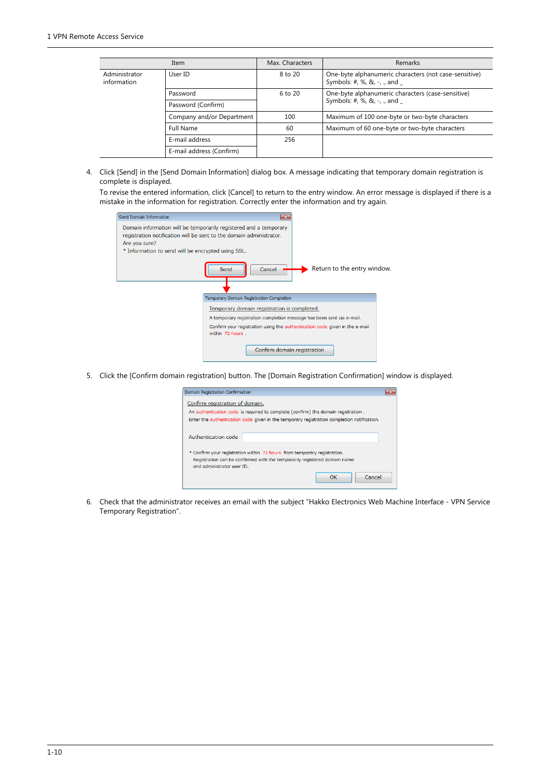|                              | Item                      | Max. Characters | Remarks                                                                                     |
|------------------------------|---------------------------|-----------------|---------------------------------------------------------------------------------------------|
| Administrator<br>information | User ID                   | 8 to 20         | One-byte alphanumeric characters (not case-sensitive)<br>Symbols: #, %, &, -, ., and $_{-}$ |
|                              | Password                  | $6$ to $20$     | One-byte alphanumeric characters (case-sensitive)                                           |
|                              | Password (Confirm)        |                 | Symbols: #, %, &, -, ., and $_{-}$                                                          |
|                              | Company and/or Department | 100             | Maximum of 100 one-byte or two-byte characters                                              |
|                              | <b>Full Name</b>          | 60              | Maximum of 60 one-byte or two-byte characters                                               |
|                              | E-mail address            | 256             |                                                                                             |
|                              | E-mail address (Confirm)  |                 |                                                                                             |

4. Click [Send] in the [Send Domain Information] dialog box. A message indicating that temporary domain registration is complete is displayed.

To revise the entered information, click [Cancel] to return to the entry window. An error message is displayed if there is a mistake in the information for registration. Correctly enter the information and try again.

| Send Domain Information                                                                                                                                                                                         |                             |
|-----------------------------------------------------------------------------------------------------------------------------------------------------------------------------------------------------------------|-----------------------------|
| Domain information will be temporarily registered and a temporary<br>registration notification will be sent to the domain administrator.<br>Are you sure?<br>* Information to send will be encrypted using SSL. |                             |
| Send<br>Cancel                                                                                                                                                                                                  | Return to the entry window. |
| Temporary Domain Registration Completion                                                                                                                                                                        |                             |
| Temporary domain registration is completed.<br>A temporary registration completion message has been sent via e-mail.                                                                                            |                             |
| Confirm your registration using the authentication code given in the e-mail<br>within 72 hours.<br>Confirm domain registration                                                                                  |                             |

5. Click the [Confirm domain registration] button. The [Domain Registration Confirmation] window is displayed.

| Domain Registration Confirmation                                                                                                                                                    |        |  |  |  |
|-------------------------------------------------------------------------------------------------------------------------------------------------------------------------------------|--------|--|--|--|
| Confirm registration of domain.                                                                                                                                                     |        |  |  |  |
| An authentication code is required to complete (confirm) the domain registration.                                                                                                   |        |  |  |  |
| Enter the authentication code given in the temporary registration completion notification.                                                                                          |        |  |  |  |
| Authentication code                                                                                                                                                                 |        |  |  |  |
| * Confirm your registration within 72 hours from temporary registration.<br>Registration can be confirmed with the temporarily registered domain name<br>and administrator user ID. |        |  |  |  |
| OK                                                                                                                                                                                  | Cancel |  |  |  |

6. Check that the administrator receives an email with the subject "Hakko Electronics Web Machine Interface - VPN Service Temporary Registration".